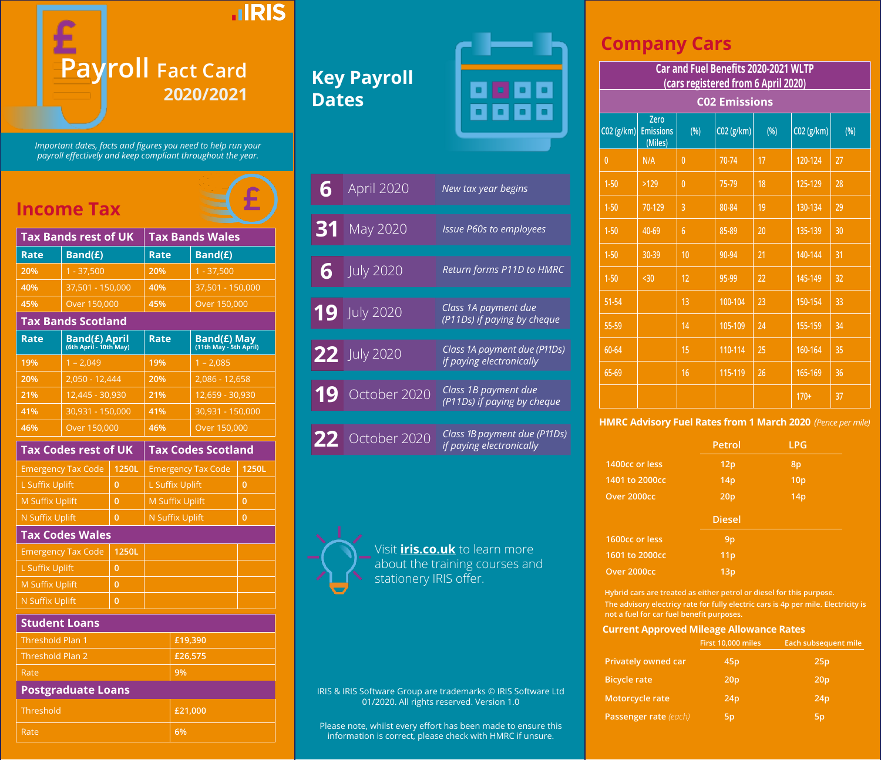

*Important dates, facts and figures you need to help run your payroll effectively and keep compliant throughout the year.*

# **Income Tax**

|                           | <b>Tax Bands rest of UK</b>             |                | <b>Tax Bands Wales</b>    |                                       |                |  |
|---------------------------|-----------------------------------------|----------------|---------------------------|---------------------------------------|----------------|--|
| Rate                      | Band(£)                                 |                | Rate                      | Band(£)                               |                |  |
| 20%                       | $1 - 37.500$                            |                | 20%                       | $1 - 37,500$                          |                |  |
| 40%                       | 37.501 - 150.000                        |                | 40%                       | 37.501 - 150.000                      |                |  |
| 45%                       | Over 150,000                            |                | 45%                       | Over 150,000                          |                |  |
|                           | <b>Tax Bands Scotland</b>               |                |                           |                                       |                |  |
| Rate                      | Band(£) April<br>(6th April - 10th May) |                | <b>Rate</b>               | Band(£) May<br>(11th May - 5th April) |                |  |
| 19%                       | $1 - 2,049$                             |                | 19%                       | $1 - 2,085$                           |                |  |
| 20%                       | 2,050 - 12,444                          |                | 20%                       | 2,086 - 12,658                        |                |  |
| 21%                       | 12,445 - 30,930                         |                | 21%                       | 12,659 - 30,930                       |                |  |
| 41%                       | 30,931 - 150,000                        |                | 41%                       | 30,931 - 150,000                      |                |  |
| 46%                       | Over 150,000                            |                | 46%                       | Over 150,000                          |                |  |
|                           | <b>Tax Codes rest of UK</b>             |                | <b>Tax Codes Scotland</b> |                                       |                |  |
|                           | <b>Emergency Tax Code</b>               | 1250L          | <b>Emergency Tax Code</b> |                                       | 1250L          |  |
| L Suffix Uplift           |                                         | 0              | <b>L Suffix Uplift</b>    |                                       | 0              |  |
| <b>M Suffix Uplift</b>    |                                         | $\overline{0}$ | <b>M Suffix Uplift</b>    |                                       | $\overline{0}$ |  |
| <b>N Suffix Uplift</b>    |                                         | 0              | <b>N Suffix Uplift</b>    |                                       | 0              |  |
| <b>Tax Codes Wales</b>    |                                         |                |                           |                                       |                |  |
| <b>Emergency Tax Code</b> |                                         | 1250L          |                           |                                       |                |  |
| <b>L Suffix Uplift</b>    |                                         | $\overline{0}$ |                           |                                       |                |  |
| <b>M Suffix Uplift</b>    |                                         | $\overline{0}$ |                           |                                       |                |  |
| N Suffix Uplift           |                                         | 0              |                           |                                       |                |  |

### **Student Loans**

| Threshold Plan 1          | £19,390 |
|---------------------------|---------|
| <b>Threshold Plan 2</b>   | £26,575 |
| Rate                      | 9%      |
| <b>Postgraduate Loans</b> |         |
| Threshold                 | £21,000 |
| Rate <sup>'</sup>         | 6%      |

# **Key Payroll Dates**



| 6  | April 2020       | New tax year begins                                      |
|----|------------------|----------------------------------------------------------|
| 31 | May 2020         | <b>Issue P60s to employees</b>                           |
| 6  | <b>July 2020</b> | Return forms P11D to HMRC                                |
|    | $19$ July 2020   | Class 1A payment due<br>(P11Ds) if paying by cheque      |
|    | 22 July 2020     | Class 1A payment due (P11Ds)<br>if paying electronically |
| 19 | October 2020     | Class 1B payment due<br>(P11Ds) if paying by cheque      |
| 22 | October 2020     | Class 1B payment due (P11Ds)<br>if paying electronically |



Visit **iris.co.uk** to learn more about the training courses and stationery IRIS offer.

IRIS & IRIS Software Group are trademarks © IRIS Software Ltd 01/2020. All rights reserved. Version 1.0

Please note, whilst every effort has been made to ensure this information is correct, please check with HMRC if unsure.

### **Company Cars**

**(cars registered from 6 April 2020)**

| Zero<br><b>Emissions</b><br>(Miles) | (%)            | C02 (g/km) | (%) | C02 (g/km)           | (%) |  |
|-------------------------------------|----------------|------------|-----|----------------------|-----|--|
| N/A                                 | $\overline{0}$ | 70-74      | 17  | 120-124              | 27  |  |
| $>129$                              | $\overline{0}$ | 75-79      | 18  | 125-129              | 28  |  |
| 70-129                              | 3              | 80-84      | 19  | 130-134              | 29  |  |
| 40-69                               | $\overline{6}$ | 85-89      | 20  | 135-139              | 30  |  |
| 30-39                               | 10             | 90-94      | 21  | 140-144              | 31  |  |
| $30$                                | 12             | 95-99      | 22  | 145-149              | 32  |  |
|                                     | 13             | 100-104    | 23  | 150-154              | 33  |  |
|                                     | 14             | 105-109    | 24  | 155-159              | 34  |  |
|                                     | 15             | 110-114    | 25  | 160-164              | 35  |  |
|                                     | 16             | 115-119    | 26  | 165-169              | 36  |  |
|                                     |                |            |     | $170+$               | 37  |  |
|                                     |                |            |     | <b>C02 Emissions</b> |     |  |

### **HMRC Advisory Fuel Rates from 1 March 2020** *(Pence per mile)*

|                | Petrol          | <b>LPG</b>      |
|----------------|-----------------|-----------------|
| 1400cc or less | 12p             | 8p              |
| 1401 to 2000cc | 14 <sub>p</sub> | 10 <sub>p</sub> |
| Over 2000cc    | 20 <sub>p</sub> | 14p             |
|                |                 |                 |
|                | <b>Diesel</b>   |                 |
| 1600cc or less | 9 <sub>p</sub>  |                 |
| 1601 to 2000cc | 11 <sub>p</sub> |                 |

**Hybrid cars are treated as either petrol or diesel for this purpose. The advisory electricy rate for fully electric cars is 4p per mile. Electricity is not a fuel for car fuel benefit purposes.**

#### **Current Approved Mileage Allowance Rates**

| First 10,000 miles | <b>Each subsequent mile</b> |
|--------------------|-----------------------------|
| 45 <sub>p</sub>    | 25p                         |
| 20 <sub>p</sub>    | 20 <sub>p</sub>             |
| 24p                | 24p                         |
| 5p                 | 5p                          |
|                    |                             |